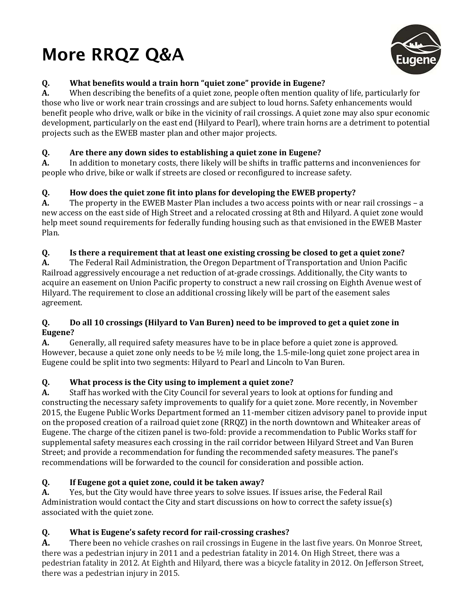# **More RRQZ Q&A**



# **Q. What benefits would a train horn "quiet zone" provide in Eugene?**

**A.** When describing the benefits of a quiet zone, people often mention quality of life, particularly for those who live or work near train crossings and are subject to loud horns. Safety enhancements would benefit people who drive, walk or bike in the vicinity of rail crossings. A quiet zone may also spur economic development, particularly on the east end (Hilyard to Pearl), where train horns are a detriment to potential projects such as the EWEB master plan and other major projects.

## **Q. Are there any down sides to establishing a quiet zone in Eugene?**

**A.** In addition to monetary costs, there likely will be shifts in traffic patterns and inconveniences for people who drive, bike or walk if streets are closed or reconfigured to increase safety.

## **Q. How does the quiet zone fit into plans for developing the EWEB property?**

**A.** The property in the EWEB Master Plan includes a two access points with or near rail crossings – a new access on the east side of High Street and a relocated crossing at 8th and Hilyard. A quiet zone would help meet sound requirements for federally funding housing such as that envisioned in the EWEB Master Plan.

## **Q. Is there a requirement that at least one existing crossing be closed to get a quiet zone?**

**A.** The Federal Rail Administration, the Oregon Department of Transportation and Union Pacific Railroad aggressively encourage a net reduction of at-grade crossings. Additionally, the City wants to acquire an easement on Union Pacific property to construct a new rail crossing on Eighth Avenue west of Hilyard. The requirement to close an additional crossing likely will be part of the easement sales agreement.

### **Q. Do all 10 crossings (Hilyard to Van Buren) need to be improved to get a quiet zone in Eugene?**

**A.** Generally, all required safety measures have to be in place before a quiet zone is approved. However, because a quiet zone only needs to be ½ mile long, the 1.5-mile-long quiet zone project area in Eugene could be split into two segments: Hilyard to Pearl and Lincoln to Van Buren.

# **Q. What process is the City using to implement a quiet zone?**

**A.** Staff has worked with the City Council for several years to look at options for funding and constructing the necessary safety improvements to qualify for a quiet zone. More recently, in November 2015, the Eugene Public Works Department formed an 11-member citizen advisory panel to provide input on the proposed creation of a railroad quiet zone (RRQZ) in the north downtown and Whiteaker areas of Eugene. The charge of the citizen panel is two-fold: provide a recommendation to Public Works staff for supplemental safety measures each crossing in the rail corridor between Hilyard Street and Van Buren Street; and provide a recommendation for funding the recommended safety measures. The panel's recommendations will be forwarded to the council for consideration and possible action.

# **Q. If Eugene got a quiet zone, could it be taken away?**

**A.** Yes, but the City would have three years to solve issues. If issues arise, the Federal Rail Administration would contact the City and start discussions on how to correct the safety issue(s) associated with the quiet zone.

# **Q. What is Eugene's safety record for rail-crossing crashes?**

**A.** There been no vehicle crashes on rail crossings in Eugene in the last five years. On Monroe Street, there was a pedestrian injury in 2011 and a pedestrian fatality in 2014. On High Street, there was a pedestrian fatality in 2012. At Eighth and Hilyard, there was a bicycle fatality in 2012. On Jefferson Street, there was a pedestrian injury in 2015.